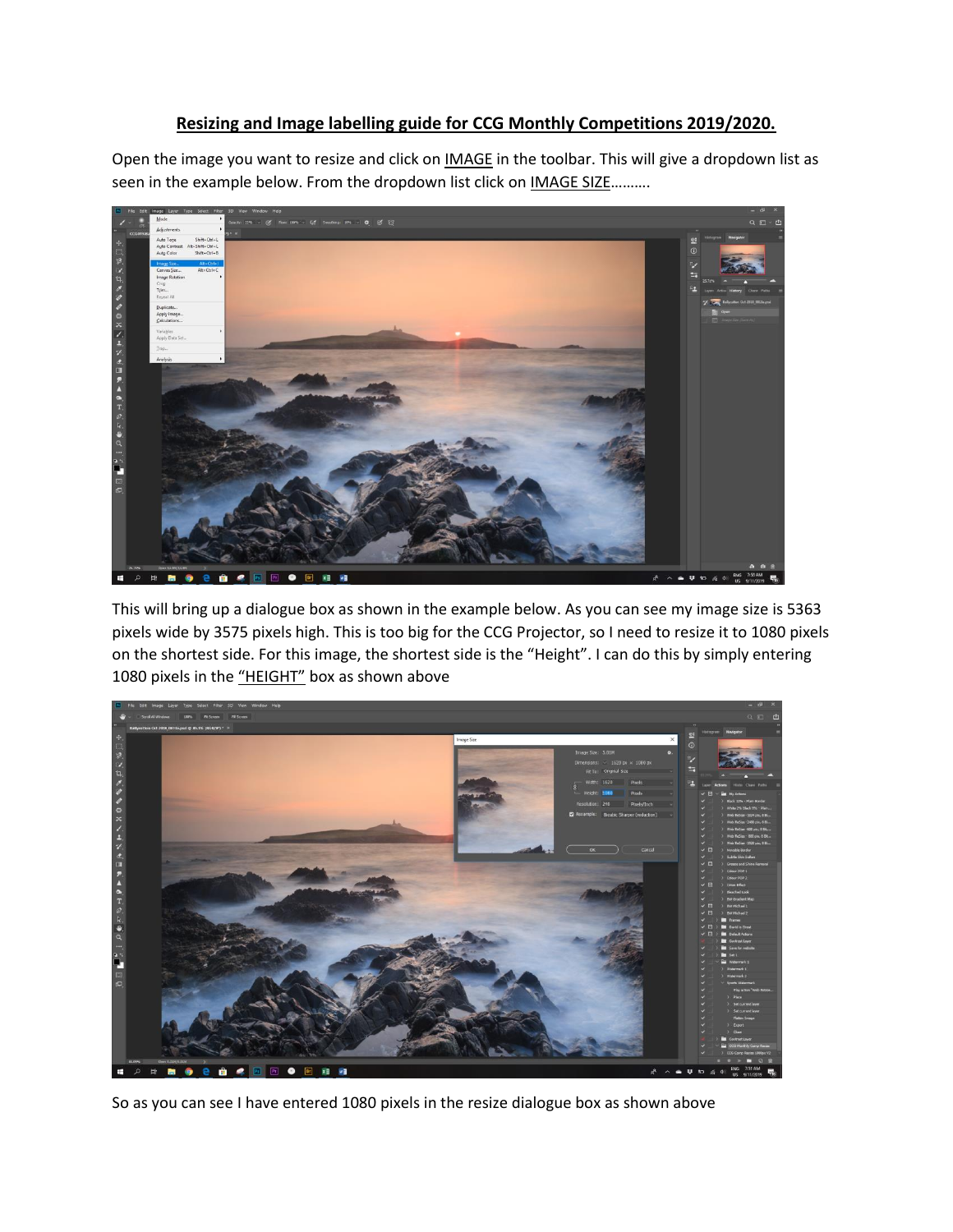## **Resizing and Image labelling guide for CCG Monthly Competitions 2019/2020.**

Open the image you want to resize and click on IMAGE in the toolbar. This will give a dropdown list as seen in the example below. From the dropdown list click on **IMAGE SIZE..........** 



This will bring up a dialogue box as shown in the example below. As you can see my image size is 5363 pixels wide by 3575 pixels high. This is too big for the CCG Projector, so I need to resize it to 1080 pixels on the shortest side. For this image, the shortest side is the "Height". I can do this by simply entering 1080 pixels in the "HEIGHT" box as shown above



So as you can see I have entered 1080 pixels in the resize dialogue box as shown above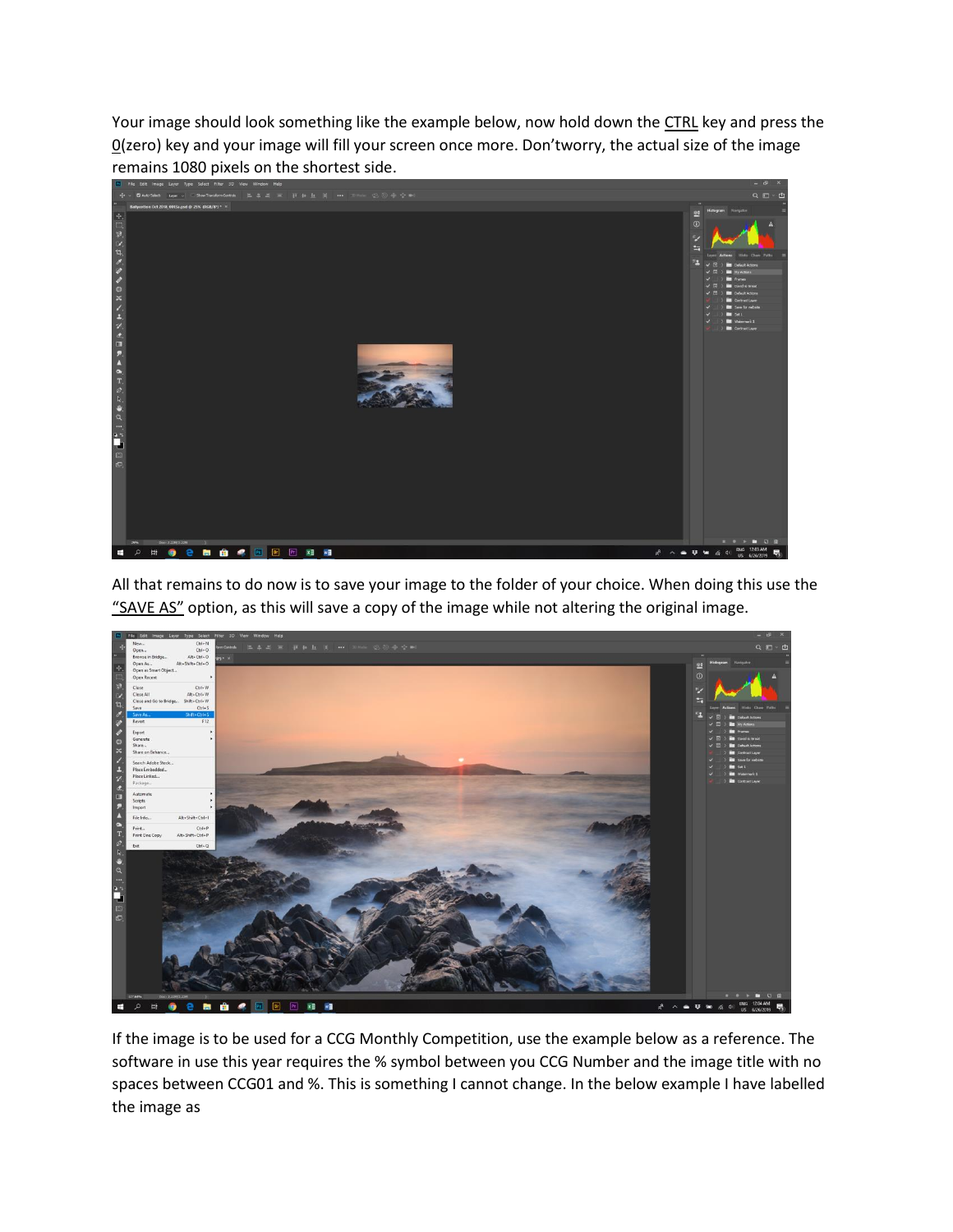Your image should look something like the example below, now hold down the CTRL key and press the 0(zero) key and your image will fill your screen once more. Don'tworry, the actual size of the image remains 1080 pixels on the shortest side.



All that remains to do now is to save your image to the folder of your choice. When doing this use the "SAVE AS" option, as this will save a copy of the image while not altering the original image.



If the image is to be used for a CCG Monthly Competition, use the example below as a reference. The software in use this year requires the % symbol between you CCG Number and the image title with no spaces between CCG01 and %. This is something I cannot change. In the below example I have labelled the image as